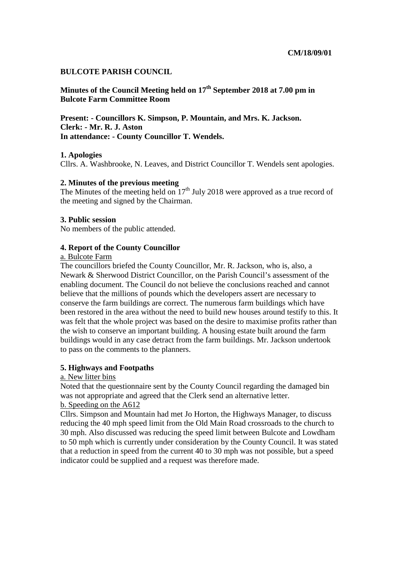# **BULCOTE PARISH COUNCIL**

**Minutes of the Council Meeting held on 17th September 2018 at 7.00 pm in Bulcote Farm Committee Room** 

**Present: - Councillors K. Simpson, P. Mountain, and Mrs. K. Jackson. Clerk: - Mr. R. J. Aston In attendance: - County Councillor T. Wendels.** 

# **1. Apologies**

Cllrs. A. Washbrooke, N. Leaves, and District Councillor T. Wendels sent apologies.

# **2. Minutes of the previous meeting**

The Minutes of the meeting held on  $17<sup>th</sup>$  July 2018 were approved as a true record of the meeting and signed by the Chairman.

# **3. Public session**

No members of the public attended.

# **4. Report of the County Councillor**

# a. Bulcote Farm

The councillors briefed the County Councillor, Mr. R. Jackson, who is, also, a Newark & Sherwood District Councillor, on the Parish Council's assessment of the enabling document. The Council do not believe the conclusions reached and cannot believe that the millions of pounds which the developers assert are necessary to conserve the farm buildings are correct. The numerous farm buildings which have been restored in the area without the need to build new houses around testify to this. It was felt that the whole project was based on the desire to maximise profits rather than the wish to conserve an important building. A housing estate built around the farm buildings would in any case detract from the farm buildings. Mr. Jackson undertook to pass on the comments to the planners.

# **5. Highways and Footpaths**

# a. New litter bins

Noted that the questionnaire sent by the County Council regarding the damaged bin was not appropriate and agreed that the Clerk send an alternative letter.

# b. Speeding on the A612

Cllrs. Simpson and Mountain had met Jo Horton, the Highways Manager, to discuss reducing the 40 mph speed limit from the Old Main Road crossroads to the church to 30 mph. Also discussed was reducing the speed limit between Bulcote and Lowdham to 50 mph which is currently under consideration by the County Council. It was stated that a reduction in speed from the current 40 to 30 mph was not possible, but a speed indicator could be supplied and a request was therefore made.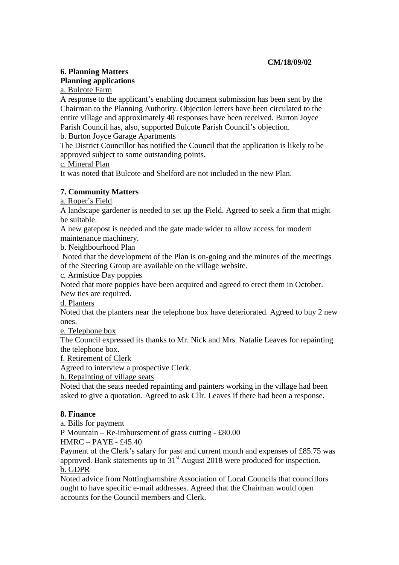# **6. Planning Matters Planning applications**

a. Bulcote Farm

A response to the applicant's enabling document submission has been sent by the Chairman to the Planning Authority. Objection letters have been circulated to the entire village and approximately 40 responses have been received. Burton Joyce Parish Council has, also, supported Bulcote Parish Council's objection.

b. Burton Joyce Garage Apartments

The District Councillor has notified the Council that the application is likely to be approved subject to some outstanding points.

c. Mineral Plan

It was noted that Bulcote and Shelford are not included in the new Plan.

# **7. Community Matters**

a. Roper's Field

A landscape gardener is needed to set up the Field. Agreed to seek a firm that might be suitable.

A new gatepost is needed and the gate made wider to allow access for modern maintenance machinery.

b. Neighbourhood Plan

 Noted that the development of the Plan is on-going and the minutes of the meetings of the Steering Group are available on the village website.

c. Armistice Day poppies

Noted that more poppies have been acquired and agreed to erect them in October. New ties are required.

d. Planters

Noted that the planters near the telephone box have deteriorated. Agreed to buy 2 new ones.

e. Telephone box

The Council expressed its thanks to Mr. Nick and Mrs. Natalie Leaves for repainting the telephone box.

f. Retirement of Clerk

Agreed to interview a prospective Clerk.

h. Repainting of village seats

Noted that the seats needed repainting and painters working in the village had been asked to give a quotation. Agreed to ask Cllr. Leaves if there had been a response.

# **8. Finance**

a. Bills for payment

P Mountain – Re-imbursement of grass cutting - £80.00 HMRC – PAYE - £45.40

Payment of the Clerk's salary for past and current month and expenses of £85.75 was approved. Bank statements up to  $31<sup>st</sup>$  August 2018 were produced for inspection. b. GDPR

Noted advice from Nottinghamshire Association of Local Councils that councillors ought to have specific e-mail addresses. Agreed that the Chairman would open accounts for the Council members and Clerk.